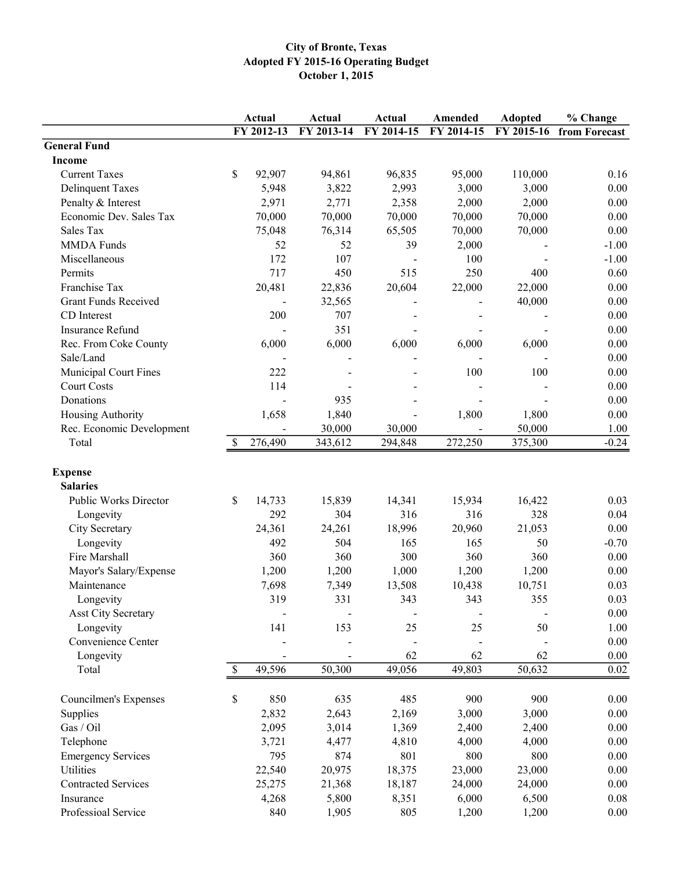#### October 1, 2015 Adopted FY 2015-16 Operating Budget City of Bronte, Texas

|                                   | Actual       | Actual                   | Actual                       | Amended    | <b>Adopted</b> | % Change      |
|-----------------------------------|--------------|--------------------------|------------------------------|------------|----------------|---------------|
|                                   | FY 2012-13   | FY 2013-14               | FY 2014-15                   | FY 2014-15 | FY 2015-16     | from Forecast |
| <b>General Fund</b>               |              |                          |                              |            |                |               |
| <b>Income</b>                     |              |                          |                              |            |                |               |
| <b>Current Taxes</b>              | \$<br>92,907 | 94,861                   | 96,835                       | 95,000     | 110,000        | 0.16          |
| <b>Delinquent Taxes</b>           | 5,948        | 3,822                    | 2,993                        | 3,000      | 3,000          | 0.00          |
| Penalty & Interest                | 2,971        | 2,771                    | 2,358                        | 2,000      | 2,000          | 0.00          |
| Economic Dev. Sales Tax           | 70,000       | 70,000                   | 70,000                       | 70,000     | 70,000         | 0.00          |
| Sales Tax                         | 75,048       | 76,314                   | 65,505                       | 70,000     | 70,000         | 0.00          |
| <b>MMDA</b> Funds                 | 52           | 52                       | 39                           | 2,000      |                | $-1.00$       |
| Miscellaneous                     | 172          | 107                      |                              | 100        |                | $-1.00$       |
| Permits                           | 717          | 450                      | 515                          | 250        | 400            | 0.60          |
| Franchise Tax                     | 20,481       | 22,836                   | 20,604                       | 22,000     | 22,000         | 0.00          |
| <b>Grant Funds Received</b>       |              | 32,565                   |                              |            | 40,000         | $0.00\,$      |
| CD Interest                       | 200          | 707                      |                              |            |                | $0.00\,$      |
| Insurance Refund                  |              | 351                      |                              |            |                | 0.00          |
| Rec. From Coke County             | 6,000        | 6,000                    | 6,000                        | 6,000      | 6,000          | 0.00          |
| Sale/Land                         |              | $\overline{\phantom{a}}$ |                              |            |                | 0.00          |
| Municipal Court Fines             | 222          |                          |                              | 100        | 100            | 0.00          |
| <b>Court Costs</b>                | 114          |                          |                              |            |                | 0.00          |
| Donations                         |              | 935                      |                              |            |                | 0.00          |
| Housing Authority                 | 1,658        | 1,840                    |                              | 1,800      | 1,800          | 0.00          |
| Rec. Economic Development         |              | 30,000                   | 30,000                       |            | 50,000         | 1.00          |
| Total                             | 276,490<br>S | 343,612                  | 294,848                      | 272,250    | 375,300        | $-0.24$       |
|                                   |              |                          |                              |            |                |               |
| <b>Expense</b><br><b>Salaries</b> |              |                          |                              |            |                |               |
| Public Works Director             | \$<br>14,733 | 15,839                   | 14,341                       | 15,934     | 16,422         | 0.03          |
|                                   | 292          | 304                      | 316                          | 316        | 328            | 0.04          |
| Longevity                         |              |                          |                              |            |                | 0.00          |
| City Secretary                    | 24,361       | 24,261<br>504            | 18,996                       | 20,960     | 21,053<br>50   |               |
| Longevity<br>Fire Marshall        | 492          |                          | 165                          | 165        |                | $-0.70$       |
|                                   | 360          | 360                      | 300                          | 360        | 360            | 0.00          |
| Mayor's Salary/Expense            | 1,200        | 1,200                    | 1,000                        | 1,200      | 1,200          | 0.00          |
| Maintenance                       | 7,698        | 7,349                    | 13,508                       | 10,438     | 10,751         | 0.03          |
| Longevity                         | 319          | 331                      | 343                          | 343        | 355            | 0.03          |
| Asst City Secretary               |              |                          | $\qquad \qquad \blacksquare$ |            |                | 0.00          |
| Longevity                         | 141          | 153                      | 25                           | 25         | 50             | 1.00          |
| Convenience Center                |              |                          |                              |            |                | 0.00          |
| Longevity                         |              |                          | 62                           | 62         | 62             | 0.00          |
| Total                             | 49,596<br>\$ | 50,300                   | 49,056                       | 49,803     | 50,632         | 0.02          |
| Councilmen's Expenses             | \$<br>850    | 635                      | 485                          | 900        | 900            | 0.00          |
| Supplies                          | 2,832        | 2,643                    | 2,169                        | 3,000      | 3,000          | 0.00          |
| Gas / Oil                         | 2,095        | 3,014                    | 1,369                        | 2,400      | 2,400          | $0.00\,$      |
| Telephone                         | 3,721        | 4,477                    | 4,810                        | 4,000      | 4,000          | 0.00          |
| <b>Emergency Services</b>         | 795          | 874                      | 801                          | 800        | 800            | 0.00          |
| Utilities                         | 22,540       | 20,975                   | 18,375                       | 23,000     | 23,000         | 0.00          |
| <b>Contracted Services</b>        | 25,275       | 21,368                   | 18,187                       | 24,000     | 24,000         | 0.00          |
| Insurance                         | 4,268        | 5,800                    | 8,351                        | 6,000      | 6,500          | 0.08          |
| Professioal Service               | 840          | 1,905                    | 805                          | 1,200      | 1,200          | 0.00          |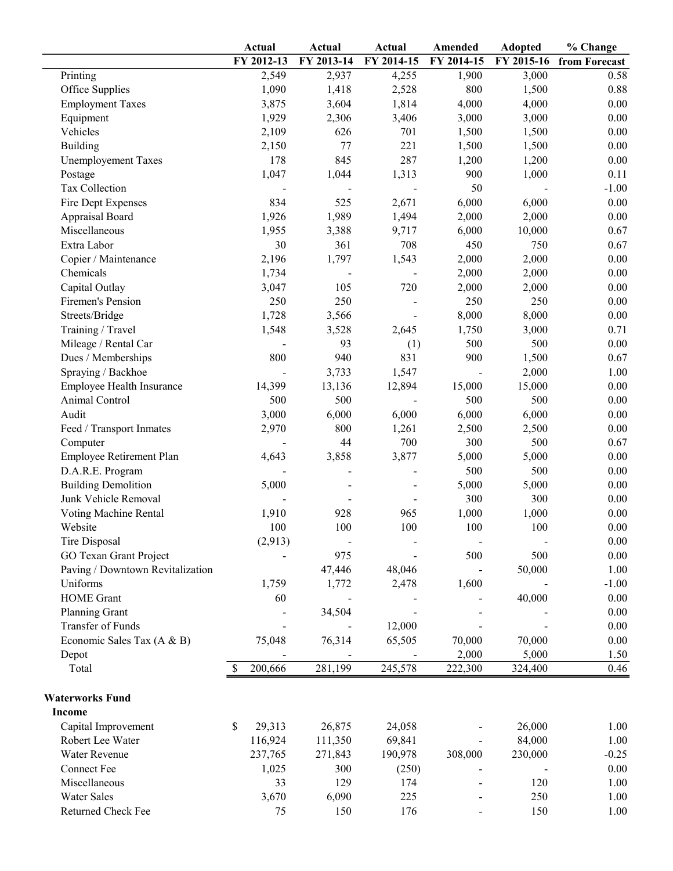|                                  | <b>Actual</b> | <b>Actual</b>            | <b>Actual</b>           | Amended    | <b>Adopted</b> | % Change      |
|----------------------------------|---------------|--------------------------|-------------------------|------------|----------------|---------------|
|                                  | FY 2012-13    | FY 2013-14               | $\overline{FY}$ 2014-15 | FY 2014-15 | FY 2015-16     | from Forecast |
| Printing                         | 2,549         | 2,937                    | 4,255                   | 1,900      | 3,000          | 0.58          |
| Office Supplies                  | 1,090         | 1,418                    | 2,528                   | 800        | 1,500          | 0.88          |
| <b>Employment Taxes</b>          | 3,875         | 3,604                    | 1,814                   | 4,000      | 4,000          | 0.00          |
| Equipment                        | 1,929         | 2,306                    | 3,406                   | 3,000      | 3,000          | $0.00\,$      |
| Vehicles                         | 2,109         | 626                      | 701                     | 1,500      | 1,500          | 0.00          |
| Building                         | 2,150         | 77                       | 221                     | 1,500      | 1,500          | $0.00\,$      |
| <b>Unemployement Taxes</b>       | 178           | 845                      | 287                     | 1,200      | 1,200          | $0.00\,$      |
| Postage                          | 1,047         | 1,044                    | 1,313                   | 900        | 1,000          | 0.11          |
| <b>Tax Collection</b>            |               | $\overline{\phantom{0}}$ | $\frac{1}{2}$           | 50         |                | $-1.00$       |
| Fire Dept Expenses               | 834           | 525                      | 2,671                   | 6,000      | 6,000          | $0.00\,$      |
| Appraisal Board                  | 1,926         | 1,989                    | 1,494                   | 2,000      | 2,000          | 0.00          |
| Miscellaneous                    | 1,955         | 3,388                    | 9,717                   | 6,000      | 10,000         | 0.67          |
| Extra Labor                      | 30            | 361                      | 708                     | 450        | 750            | 0.67          |
| Copier / Maintenance             | 2,196         | 1,797                    | 1,543                   | 2,000      | 2,000          | $0.00\,$      |
| Chemicals                        | 1,734         |                          |                         | 2,000      | 2,000          | 0.00          |
| Capital Outlay                   | 3,047         | 105                      | 720                     | 2,000      | 2,000          | $0.00\,$      |
| Firemen's Pension                | 250           | 250                      |                         | 250        | 250            | 0.00          |
| Streets/Bridge                   | 1,728         | 3,566                    |                         | 8,000      | 8,000          | 0.00          |
| Training / Travel                | 1,548         | 3,528                    | 2,645                   | 1,750      | 3,000          | 0.71          |
| Mileage / Rental Car             |               | 93                       | (1)                     | 500        | 500            | $0.00\,$      |
| Dues / Memberships               | 800           | 940                      | 831                     | 900        | 1,500          | 0.67          |
| Spraying / Backhoe               |               | 3,733                    | 1,547                   |            | 2,000          | 1.00          |
| Employee Health Insurance        | 14,399        | 13,136                   | 12,894                  | 15,000     | 15,000         | $0.00\,$      |
| Animal Control                   | 500           | 500                      |                         | 500        | 500            | 0.00          |
| Audit                            | 3,000         | 6,000                    | 6,000                   | 6,000      | 6,000          | 0.00          |
| Feed / Transport Inmates         | 2,970         | 800                      | 1,261                   | 2,500      | 2,500          | 0.00          |
| Computer                         |               | 44                       | 700                     | 300        | 500            | 0.67          |
| Employee Retirement Plan         | 4,643         | 3,858                    | 3,877                   | 5,000      | 5,000          | $0.00\,$      |
| D.A.R.E. Program                 |               |                          |                         | 500        | 500            | $0.00\,$      |
| <b>Building Demolition</b>       | 5,000         |                          |                         | 5,000      | 5,000          | $0.00\,$      |
| Junk Vehicle Removal             |               |                          |                         | 300        | 300            | $0.00\,$      |
| Voting Machine Rental            | 1,910         | 928                      | 965                     | 1,000      | 1,000          | $0.00\,$      |
| Website                          | 100           | 100                      | 100                     | 100        | 100            | $0.00\,$      |
| Tire Disposal                    | (2,913)       |                          |                         |            |                | 0.00          |
| <b>GO Texan Grant Project</b>    |               | 975                      |                         | 500        | 500            | $0.00\,$      |
| Paving / Downtown Revitalization |               | 47,446                   | 48,046                  |            | 50,000         | 1.00          |
| Uniforms                         | 1,759         | 1,772                    | 2,478                   | 1,600      |                | $-1.00$       |
| <b>HOME</b> Grant                | 60            |                          |                         |            | 40,000         | $0.00\,$      |
| Planning Grant                   |               | 34,504                   |                         |            |                | 0.00          |
| Transfer of Funds                |               |                          | 12,000                  |            |                | 0.00          |
| Economic Sales Tax (A & B)       | 75,048        | 76,314                   | 65,505                  | 70,000     | 70,000         | 0.00          |
| Depot                            |               |                          |                         | 2,000      | 5,000          | 1.50          |
| Total                            | 200,666<br>S  | 281,199                  | 245,578                 | 222,300    | 324,400        | 0.46          |
| <b>Waterworks Fund</b>           |               |                          |                         |            |                |               |
| Income                           |               |                          |                         |            |                |               |
| Capital Improvement              | \$<br>29,313  | 26,875                   | 24,058                  |            | 26,000         | 1.00          |
| Robert Lee Water                 | 116,924       | 111,350                  | 69,841                  |            | 84,000         | 1.00          |
| Water Revenue                    | 237,765       | 271,843                  | 190,978                 | 308,000    | 230,000        | $-0.25$       |
| <b>Connect Fee</b>               | 1,025         | 300                      | (250)                   |            |                | 0.00          |
| Miscellaneous                    | 33            | 129                      | 174                     |            | 120            | 1.00          |
| Water Sales                      | 3,670         | 6,090                    | 225                     |            | 250            | 1.00          |
| Returned Check Fee               | 75            | 150                      | 176                     |            | 150            | 1.00          |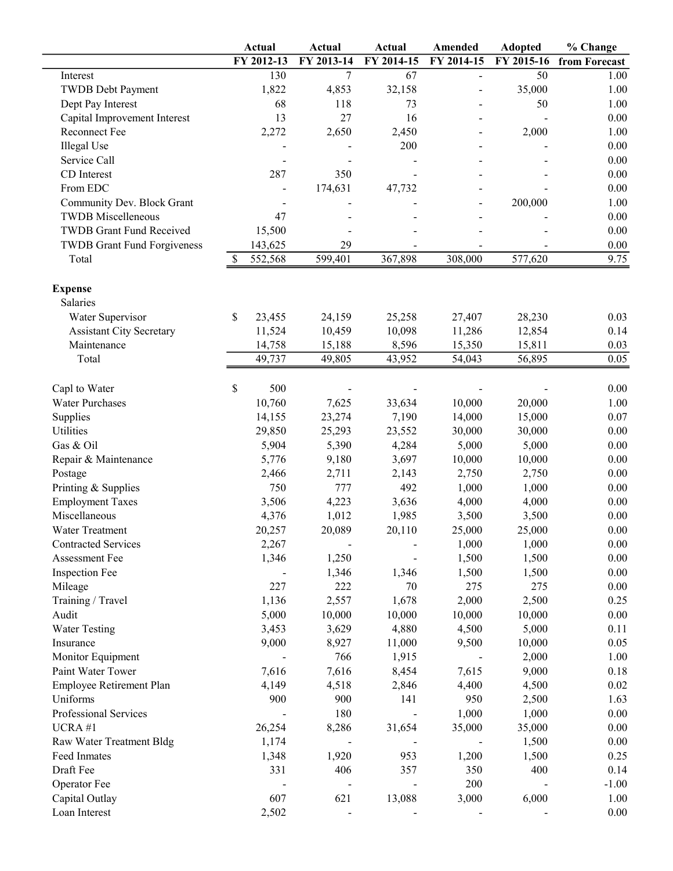|                                    | <b>Actual</b> | <b>Actual</b>                | <b>Actual</b> | Amended    | <b>Adopted</b> | % Change      |
|------------------------------------|---------------|------------------------------|---------------|------------|----------------|---------------|
|                                    | FY 2012-13    | FY 2013-14                   | FY 2014-15    | FY 2014-15 | FY 2015-16     | from Forecast |
| Interest                           | 130           | $\overline{7}$               | 67            |            | 50             | 1.00          |
| <b>TWDB</b> Debt Payment           | 1,822         | 4,853                        | 32,158        |            | 35,000         | 1.00          |
| Dept Pay Interest                  | 68            | 118                          | 73            |            | 50             | 1.00          |
| Capital Improvement Interest       | 13            | 27                           | 16            |            |                | 0.00          |
| Reconnect Fee                      | 2,272         | 2,650                        | 2,450         |            | 2,000          | 1.00          |
| <b>Illegal Use</b>                 |               |                              | 200           |            |                | $0.00\,$      |
| Service Call                       |               |                              |               |            |                | 0.00          |
| CD Interest                        | 287           | 350                          |               |            |                | 0.00          |
| From EDC                           |               | 174,631                      | 47,732        |            |                | $0.00\,$      |
| Community Dev. Block Grant         |               |                              |               |            | 200,000        | 1.00          |
| <b>TWDB</b> Miscelleneous          | 47            |                              |               |            |                | $0.00\,$      |
| <b>TWDB Grant Fund Received</b>    | 15,500        |                              |               |            |                | $0.00\,$      |
| <b>TWDB Grant Fund Forgiveness</b> | 143,625       | 29                           |               |            |                | $0.00\,$      |
| Total                              | 552,568<br>\$ | 599,401                      | 367,898       | 308,000    | 577,620        | 9.75          |
| <b>Expense</b>                     |               |                              |               |            |                |               |
| Salaries                           |               |                              |               |            |                |               |
| Water Supervisor                   | \$<br>23,455  | 24,159                       | 25,258        | 27,407     | 28,230         | 0.03          |
| <b>Assistant City Secretary</b>    | 11,524        | 10,459                       | 10,098        | 11,286     | 12,854         | 0.14          |
| Maintenance                        | 14,758        | 15,188                       | 8,596         | 15,350     | 15,811         | 0.03          |
| Total                              | 49,737        | 49,805                       | 43,952        | 54,043     | 56,895         | 0.05          |
|                                    |               |                              |               |            |                |               |
| Capl to Water                      | \$<br>500     |                              |               |            |                | 0.00          |
| <b>Water Purchases</b>             | 10,760        | 7,625                        | 33,634        | 10,000     | 20,000         | 1.00          |
| Supplies                           | 14,155        | 23,274                       | 7,190         | 14,000     | 15,000         | $0.07\,$      |
| <b>Utilities</b>                   | 29,850        | 25,293                       | 23,552        | 30,000     | 30,000         | $0.00\,$      |
| Gas & Oil                          | 5,904         | 5,390                        | 4,284         | 5,000      | 5,000          | 0.00          |
| Repair & Maintenance               | 5,776         | 9,180                        | 3,697         | 10,000     | 10,000         | 0.00          |
| Postage                            | 2,466         | 2,711                        | 2,143         | 2,750      | 2,750          | 0.00          |
| Printing & Supplies                | 750           | 777                          | 492           | 1,000      | 1,000          | 0.00          |
| <b>Employment Taxes</b>            | 3,506         | 4,223                        | 3,636         | 4,000      | 4,000          | 0.00          |
| Miscellaneous                      | 4,376         | 1,012                        | 1,985         | 3,500      | 3,500          | 0.00          |
| Water Treatment                    | 20,257        | 20,089                       | 20,110        | 25,000     | 25,000         | $0.00\,$      |
| Contracted Services                | 2,267         | $\overline{\phantom{a}}$     |               | 1,000      | 1,000          | 0.00          |
| Assessment Fee                     | 1,346         | 1,250                        |               | 1,500      | 1,500          | 0.00          |
| Inspection Fee                     |               | 1,346                        | 1,346         | 1,500      | 1,500          | 0.00          |
| Mileage                            | 227           | 222                          | 70            | 275        | 275            | 0.00          |
| Training / Travel                  | 1,136         | 2,557                        | 1,678         | 2,000      | 2,500          | 0.25          |
| Audit                              | 5,000         | 10,000                       | 10,000        | 10,000     | 10,000         | 0.00          |
| <b>Water Testing</b>               | 3,453         | 3,629                        | 4,880         | 4,500      | 5,000          | 0.11          |
| Insurance                          | 9,000         | 8,927                        | 11,000        | 9,500      | 10,000         | 0.05          |
| Monitor Equipment                  |               | 766                          | 1,915         |            | 2,000          | 1.00          |
| Paint Water Tower                  | 7,616         | 7,616                        | 8,454         | 7,615      | 9,000          | 0.18          |
| Employee Retirement Plan           | 4,149         | 4,518                        | 2,846         | 4,400      | 4,500          | 0.02          |
| Uniforms                           | 900           | 900                          | 141           | 950        | 2,500          | 1.63          |
| Professional Services              |               | 180                          |               | 1,000      | 1,000          | $0.00\,$      |
| UCRA#1                             | 26,254        | 8,286                        | 31,654        | 35,000     | 35,000         | 0.00          |
| Raw Water Treatment Bldg           | 1,174         | $\qquad \qquad \blacksquare$ |               |            | 1,500          | 0.00          |
| Feed Inmates                       | 1,348         | 1,920                        | 953           | 1,200      | 1,500          | 0.25          |
| Draft Fee                          | 331           | 406                          | 357           | 350        | 400            | 0.14          |
| Operator Fee                       |               |                              |               | 200        |                | $-1.00$       |
| Capital Outlay                     | 607           | 621                          | 13,088        | 3,000      | 6,000          | 1.00          |
| Loan Interest                      | 2,502         |                              |               |            |                | 0.00          |
|                                    |               |                              |               |            |                |               |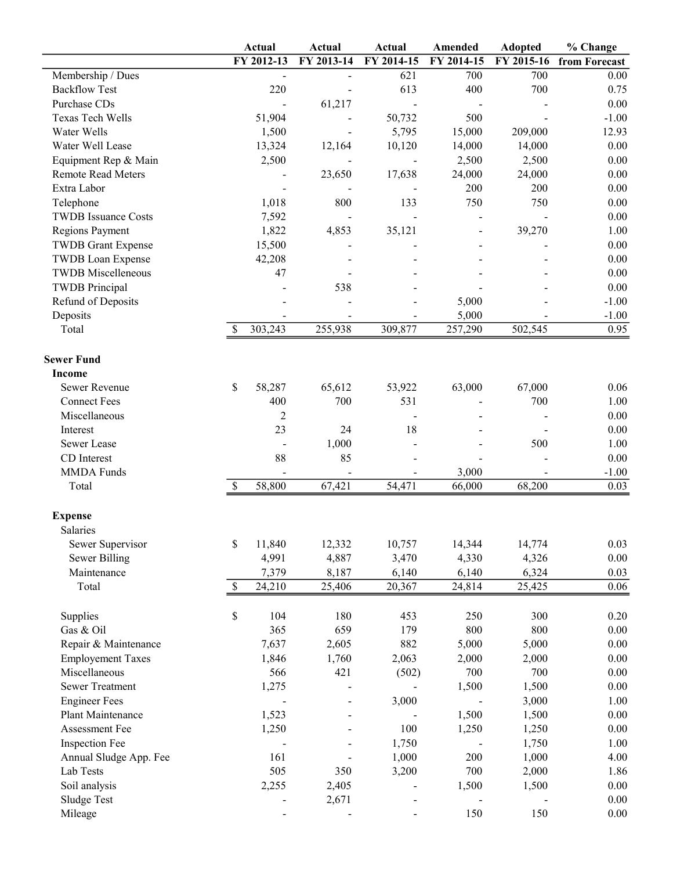|                            |              | <b>Actual</b>  | <b>Actual</b> | <b>Actual</b> | Amended    | <b>Adopted</b> | % Change      |
|----------------------------|--------------|----------------|---------------|---------------|------------|----------------|---------------|
|                            |              | FY 2012-13     | FY 2013-14    | FY 2014-15    | FY 2014-15 | FY 2015-16     | from Forecast |
| Membership / Dues          |              |                |               | 621           | 700        | 700            | 0.00          |
| <b>Backflow Test</b>       |              | 220            |               | 613           | 400        | 700            | 0.75          |
| Purchase CDs               |              | $\overline{a}$ | 61,217        |               |            |                | 0.00          |
| <b>Texas Tech Wells</b>    |              | 51,904         |               | 50,732        | 500        |                | $-1.00$       |
| Water Wells                |              | 1,500          |               | 5,795         | 15,000     | 209,000        | 12.93         |
| Water Well Lease           |              | 13,324         | 12,164        | 10,120        | 14,000     | 14,000         | 0.00          |
| Equipment Rep & Main       |              | 2,500          |               |               | 2,500      | 2,500          | 0.00          |
| <b>Remote Read Meters</b>  |              |                | 23,650        | 17,638        | 24,000     | 24,000         | 0.00          |
| Extra Labor                |              |                |               |               | 200        | 200            | 0.00          |
| Telephone                  |              | 1,018          | 800           | 133           | 750        | 750            | 0.00          |
| <b>TWDB</b> Issuance Costs |              | 7,592          |               |               |            |                | 0.00          |
| Regions Payment            |              | 1,822          | 4,853         | 35,121        |            | 39,270         | 1.00          |
| <b>TWDB</b> Grant Expense  |              | 15,500         |               |               |            |                | $0.00\,$      |
| <b>TWDB</b> Loan Expense   |              | 42,208         |               |               |            |                | $0.00\,$      |
| <b>TWDB</b> Miscelleneous  |              | 47             |               |               |            |                | $0.00\,$      |
| <b>TWDB</b> Principal      |              |                | 538           |               |            |                | $0.00\,$      |
| Refund of Deposits         |              |                |               |               | 5,000      |                | $-1.00$       |
| Deposits                   |              |                |               |               | 5,000      |                | $-1.00$       |
| Total                      | \$           | 303,243        | 255,938       | 309,877       | 257,290    | 502,545        | 0.95          |
|                            |              |                |               |               |            |                |               |
| <b>Sewer Fund</b>          |              |                |               |               |            |                |               |
| Income                     |              |                |               |               |            |                |               |
| Sewer Revenue              | \$           | 58,287         | 65,612        | 53,922        | 63,000     | 67,000         | 0.06          |
| <b>Connect Fees</b>        |              | 400            | 700           | 531           |            | 700            | 1.00          |
| Miscellaneous              |              | $\overline{2}$ |               |               |            |                | 0.00          |
| Interest                   |              | 23             | 24            | 18            |            |                | 0.00          |
| Sewer Lease                |              |                | 1,000         |               |            | 500            | 1.00          |
| CD Interest                |              | 88             | 85            |               |            |                | $0.00\,$      |
| MMDA Funds                 |              |                |               |               | 3,000      |                | $-1.00$       |
| Total                      | \$           | 58,800         | 67,421        | 54,471        | 66,000     | 68,200         | 0.03          |
| <b>Expense</b>             |              |                |               |               |            |                |               |
| Salaries                   |              |                |               |               |            |                |               |
| Sewer Supervisor           | \$           | 11,840         | 12,332        | 10,757        | 14,344     | 14,774         | 0.03          |
| <b>Sewer Billing</b>       |              | 4,991          | 4,887         | 3,470         | 4,330      | 4,326          | 0.00          |
| Maintenance                |              | 7,379          | 8,187         | 6,140         | 6,140      | 6,324          | 0.03          |
| Total                      | $\mathbb{S}$ | 24,210         | 25,406        | 20,367        | 24,814     | 25,425         | 0.06          |
|                            |              |                |               |               |            |                |               |
| Supplies                   | \$           | 104            | 180           | 453           | 250        | 300            | 0.20          |
| Gas & Oil                  |              | 365            | 659           | 179           | 800        | 800            | $0.00\,$      |
| Repair & Maintenance       |              | 7,637          | 2,605         | 882           | 5,000      | 5,000          | 0.00          |
| <b>Employement Taxes</b>   |              | 1,846          | 1,760         | 2,063         | 2,000      | 2,000          | 0.00          |
| Miscellaneous              |              | 566            | 421           | (502)         | 700        | 700            | $0.00\,$      |
| <b>Sewer Treatment</b>     |              | 1,275          |               |               | 1,500      | 1,500          | 0.00          |
| <b>Engineer Fees</b>       |              |                |               | 3,000         |            | 3,000          | $1.00\,$      |
| Plant Maintenance          |              | 1,523          |               |               | 1,500      | 1,500          | 0.00          |
| Assessment Fee             |              | 1,250          |               | 100           | 1,250      | 1,250          | 0.00          |
| Inspection Fee             |              |                |               | 1,750         |            | 1,750          | 1.00          |
| Annual Sludge App. Fee     |              | 161            |               | 1,000         | 200        | 1,000          | 4.00          |
| Lab Tests                  |              | 505            | 350           | 3,200         | 700        | 2,000          | 1.86          |
| Soil analysis              |              | 2,255          | 2,405         |               | 1,500      | 1,500          | $0.00\,$      |
| Sludge Test                |              |                | 2,671         |               |            |                | $0.00\,$      |
| Mileage                    |              |                |               |               | 150        | 150            | $0.00\,$      |
|                            |              |                |               |               |            |                |               |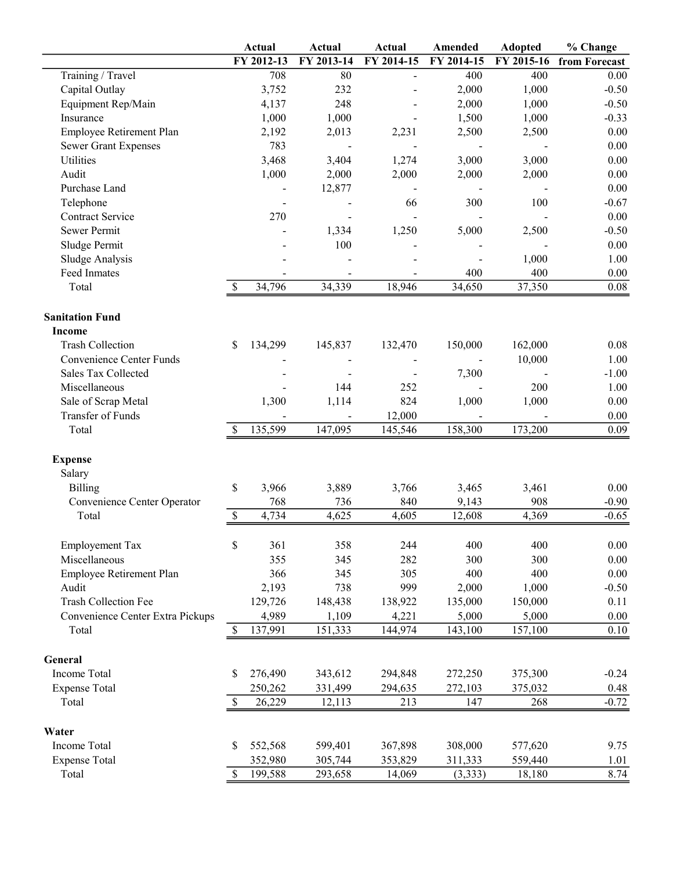|                                  | <b>Actual</b> | <b>Actual</b>            | <b>Actual</b>            | Amended    | <b>Adopted</b> | % Change      |
|----------------------------------|---------------|--------------------------|--------------------------|------------|----------------|---------------|
|                                  | FY 2012-13    | FY 2013-14               | FY 2014-15               | FY 2014-15 | FY 2015-16     | from Forecast |
| Training / Travel                | 708           | 80                       |                          | 400        | 400            | 0.00          |
| Capital Outlay                   | 3,752         | 232                      |                          | 2,000      | 1,000          | $-0.50$       |
| Equipment Rep/Main               | 4,137         | 248                      |                          | 2,000      | 1,000          | $-0.50$       |
| Insurance                        | 1,000         | 1,000                    |                          | 1,500      | 1,000          | $-0.33$       |
| Employee Retirement Plan         | 2,192         | 2,013                    | 2,231                    | 2,500      | 2,500          | 0.00          |
| <b>Sewer Grant Expenses</b>      | 783           |                          |                          |            |                | $0.00\,$      |
| <b>Utilities</b>                 | 3,468         | 3,404                    | 1,274                    | 3,000      | 3,000          | 0.00          |
| Audit                            | 1,000         | 2,000                    | 2,000                    | 2,000      | 2,000          | 0.00          |
| Purchase Land                    |               | 12,877                   | $\overline{\phantom{a}}$ |            |                | 0.00          |
| Telephone                        |               |                          | 66                       | 300        | 100            | $-0.67$       |
| <b>Contract Service</b>          | 270           |                          |                          |            |                | $0.00\,$      |
| Sewer Permit                     |               | 1,334                    | 1,250                    | 5,000      | 2,500          | $-0.50$       |
| Sludge Permit                    |               | 100                      |                          |            |                | $0.00\,$      |
| Sludge Analysis                  |               |                          |                          |            | 1,000          | 1.00          |
| Feed Inmates                     |               |                          |                          | 400        | 400            | $0.00\,$      |
| Total                            | \$<br>34,796  | 34,339                   | 18,946                   | 34,650     | 37,350         | $0.08\,$      |
|                                  |               |                          |                          |            |                |               |
| <b>Sanitation Fund</b>           |               |                          |                          |            |                |               |
| <b>Income</b>                    |               |                          |                          |            |                |               |
| <b>Trash Collection</b>          | \$<br>134,299 | 145,837                  | 132,470                  | 150,000    | 162,000        | 0.08          |
| Convenience Center Funds         |               |                          |                          |            | 10,000         | 1.00          |
| Sales Tax Collected              |               | $\overline{\phantom{a}}$ |                          | 7,300      |                | $-1.00$       |
| Miscellaneous                    |               | 144                      | 252                      |            | 200            | 1.00          |
| Sale of Scrap Metal              | 1,300         | 1,114                    | 824                      | 1,000      | 1,000          | 0.00          |
| Transfer of Funds                |               |                          | 12,000                   |            |                | 0.00          |
| Total                            | 135,599<br>\$ | 147,095                  | 145,546                  | 158,300    | 173,200        | 0.09          |
|                                  |               |                          |                          |            |                |               |
| <b>Expense</b><br>Salary         |               |                          |                          |            |                |               |
| <b>Billing</b>                   | \$<br>3,966   | 3,889                    | 3,766                    | 3,465      | 3,461          | 0.00          |
| Convenience Center Operator      | 768           | 736                      | 840                      | 9,143      | 908            | $-0.90$       |
| Total                            | \$<br>4,734   | 4,625                    | 4,605                    | 12,608     | 4,369          | $-0.65$       |
|                                  |               |                          |                          |            |                |               |
| <b>Employement Tax</b>           | \$<br>361     | 358                      | 244                      | 400        | 400            | $0.00\,$      |
| Miscellaneous                    | 355           | 345                      | 282                      | 300        | 300            | $0.00\,$      |
| Employee Retirement Plan         | 366           | 345                      | 305                      | 400        | 400            | 0.00          |
| Audit                            | 2,193         | 738                      | 999                      | 2,000      | 1,000          | $-0.50$       |
| <b>Trash Collection Fee</b>      | 129,726       | 148,438                  | 138,922                  | 135,000    | 150,000        | 0.11          |
| Convenience Center Extra Pickups | 4,989         | 1,109                    | 4,221                    | 5,000      | 5,000          | 0.00          |
| Total                            | \$<br>137,991 | 151,333                  | 144,974                  | 143,100    | 157,100        | 0.10          |
|                                  |               |                          |                          |            |                |               |
| General                          |               |                          |                          |            |                |               |
| Income Total                     | \$<br>276,490 | 343,612                  | 294,848                  | 272,250    | 375,300        | $-0.24$       |
| <b>Expense Total</b>             | 250,262       | 331,499                  | 294,635                  | 272,103    | 375,032        | 0.48          |
| Total                            | 26,229<br>\$  | 12,113                   | 213                      | 147        | 268            | $-0.72$       |
|                                  |               |                          |                          |            |                |               |
| Water                            |               |                          |                          |            |                |               |
| Income Total                     | \$<br>552,568 | 599,401                  | 367,898                  | 308,000    | 577,620        | 9.75          |
| <b>Expense Total</b>             | 352,980       | 305,744                  | 353,829                  | 311,333    | 559,440        | 1.01          |
| Total                            | 199,588<br>\$ | 293,658                  | 14,069                   | (3,333)    | 18,180         | 8.74          |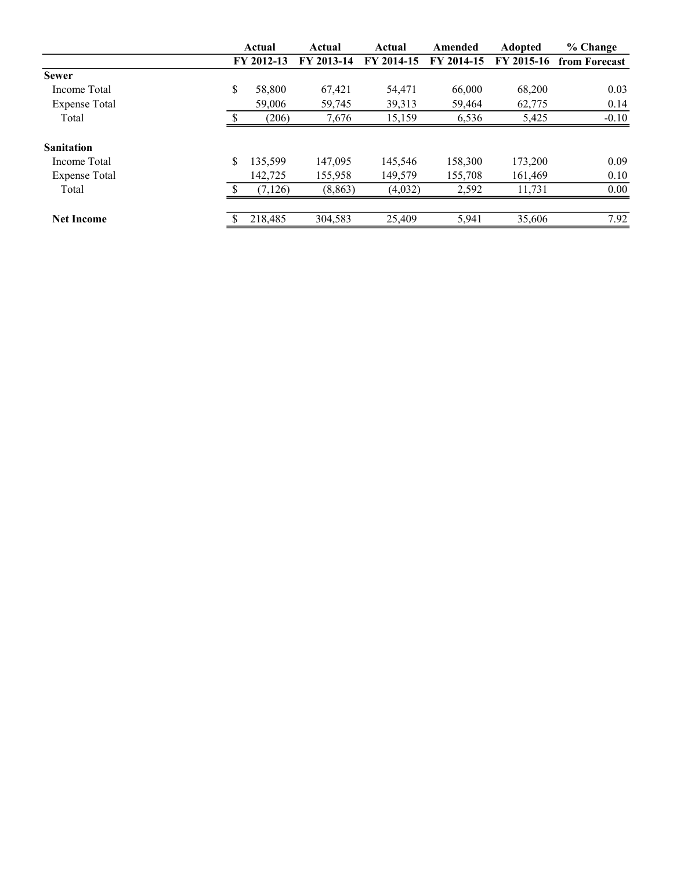|                      | Actual        | Actual     | Actual     | Amended    | <b>Adopted</b> | % Change      |
|----------------------|---------------|------------|------------|------------|----------------|---------------|
|                      | FY 2012-13    | FY 2013-14 | FY 2014-15 | FY 2014-15 | FY 2015-16     | from Forecast |
| <b>Sewer</b>         |               |            |            |            |                |               |
| Income Total         | \$<br>58,800  | 67,421     | 54,471     | 66,000     | 68,200         | 0.03          |
| <b>Expense Total</b> | 59,006        | 59,745     | 39,313     | 59,464     | 62,775         | 0.14          |
| Total                | (206)         | 7,676      | 15,159     | 6,536      | 5,425          | $-0.10$       |
| <b>Sanitation</b>    |               |            |            |            |                |               |
| Income Total         | \$<br>135,599 | 147,095    | 145,546    | 158,300    | 173,200        | 0.09          |
| <b>Expense Total</b> | 142,725       | 155,958    | 149,579    | 155,708    | 161,469        | 0.10          |
| Total                | (7,126)       | (8, 863)   | (4,032)    | 2,592      | 11,731         | 0.00          |
| <b>Net Income</b>    | 218,485       | 304,583    | 25,409     | 5,941      | 35,606         | 7.92          |
|                      |               |            |            |            |                |               |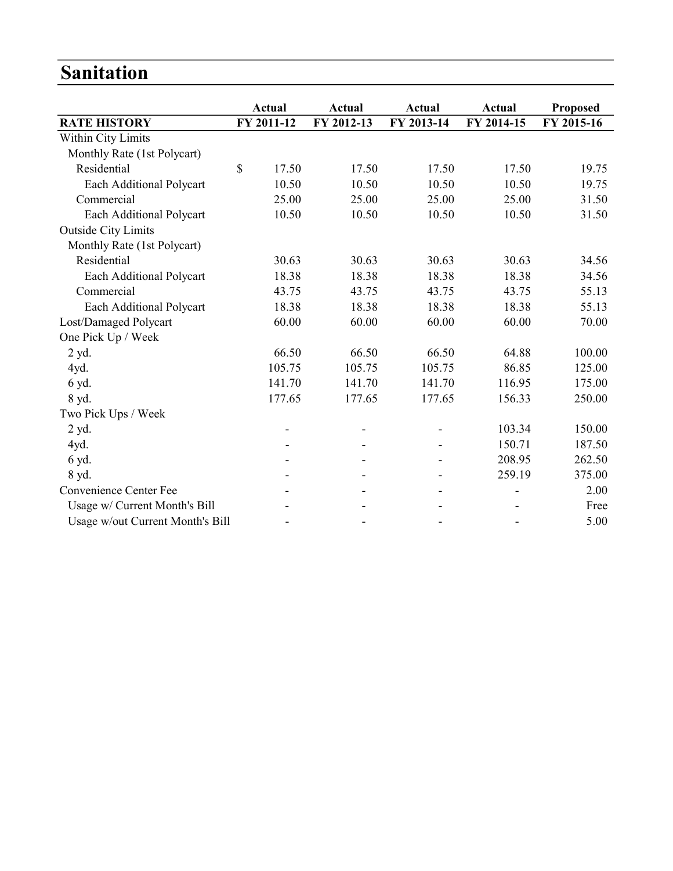#### **Sanitation**

|                                  | <b>Actual</b>          | <b>Actual</b>            | <b>Actual</b> | <b>Actual</b> | <b>Proposed</b> |
|----------------------------------|------------------------|--------------------------|---------------|---------------|-----------------|
| <b>RATE HISTORY</b>              | FY 2011-12             | FY 2012-13               | FY 2013-14    | FY 2014-15    | FY 2015-16      |
| Within City Limits               |                        |                          |               |               |                 |
| Monthly Rate (1st Polycart)      |                        |                          |               |               |                 |
| Residential                      | $\mathcal{S}$<br>17.50 | 17.50                    | 17.50         | 17.50         | 19.75           |
| Each Additional Polycart         | 10.50                  | 10.50                    | 10.50         | 10.50         | 19.75           |
| Commercial                       | 25.00                  | 25.00                    | 25.00         | 25.00         | 31.50           |
| Each Additional Polycart         | 10.50                  | 10.50                    | 10.50         | 10.50         | 31.50           |
| <b>Outside City Limits</b>       |                        |                          |               |               |                 |
| Monthly Rate (1st Polycart)      |                        |                          |               |               |                 |
| Residential                      | 30.63                  | 30.63                    | 30.63         | 30.63         | 34.56           |
| Each Additional Polycart         | 18.38                  | 18.38                    | 18.38         | 18.38         | 34.56           |
| Commercial                       | 43.75                  | 43.75                    | 43.75         | 43.75         | 55.13           |
| Each Additional Polycart         | 18.38                  | 18.38                    | 18.38         | 18.38         | 55.13           |
| Lost/Damaged Polycart            | 60.00                  | 60.00                    | 60.00         | 60.00         | 70.00           |
| One Pick Up / Week               |                        |                          |               |               |                 |
| 2 yd.                            | 66.50                  | 66.50                    | 66.50         | 64.88         | 100.00          |
| 4yd.                             | 105.75                 | 105.75                   | 105.75        | 86.85         | 125.00          |
| 6 yd.                            | 141.70                 | 141.70                   | 141.70        | 116.95        | 175.00          |
| 8 yd.                            | 177.65                 | 177.65                   | 177.65        | 156.33        | 250.00          |
| Two Pick Ups / Week              |                        |                          |               |               |                 |
| 2 yd.                            |                        |                          |               | 103.34        | 150.00          |
| 4yd.                             |                        |                          |               | 150.71        | 187.50          |
| 6 yd.                            |                        |                          |               | 208.95        | 262.50          |
| 8 yd.                            |                        |                          |               | 259.19        | 375.00          |
| Convenience Center Fee           |                        |                          |               |               | 2.00            |
| Usage w/ Current Month's Bill    |                        |                          |               |               | Free            |
| Usage w/out Current Month's Bill |                        | $\overline{\phantom{a}}$ | ٠             |               | 5.00            |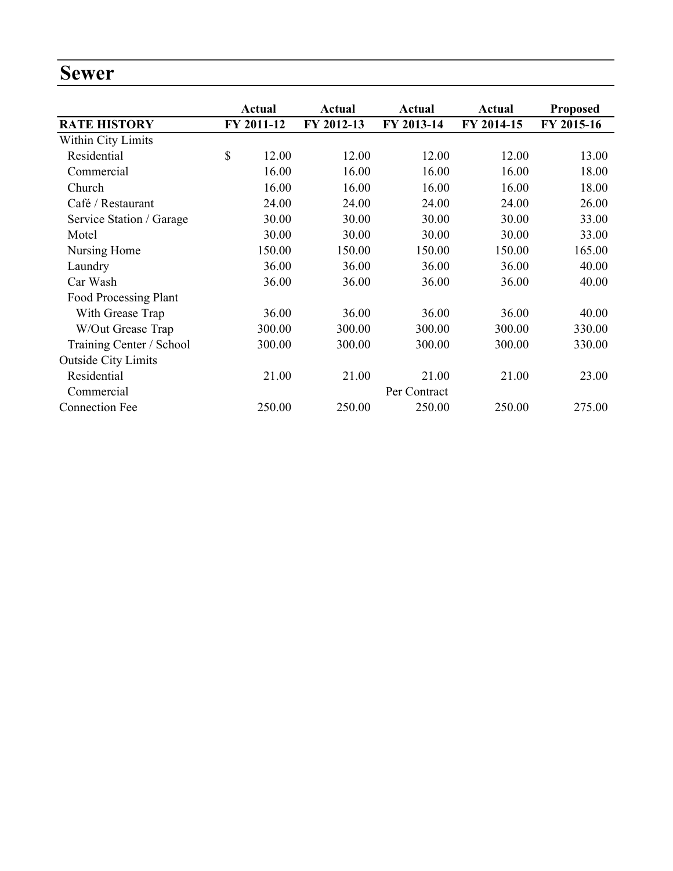#### Sewer

|                            | Actual      | Actual     | Actual       | Actual     | <b>Proposed</b> |
|----------------------------|-------------|------------|--------------|------------|-----------------|
| <b>RATE HISTORY</b>        | FY 2011-12  | FY 2012-13 | FY 2013-14   | FY 2014-15 | FY 2015-16      |
| Within City Limits         |             |            |              |            |                 |
| Residential                | \$<br>12.00 | 12.00      | 12.00        | 12.00      | 13.00           |
| Commercial                 | 16.00       | 16.00      | 16.00        | 16.00      | 18.00           |
| Church                     | 16.00       | 16.00      | 16.00        | 16.00      | 18.00           |
| Café / Restaurant          | 24.00       | 24.00      | 24.00        | 24.00      | 26.00           |
| Service Station / Garage   | 30.00       | 30.00      | 30.00        | 30.00      | 33.00           |
| Motel                      | 30.00       | 30.00      | 30.00        | 30.00      | 33.00           |
| Nursing Home               | 150.00      | 150.00     | 150.00       | 150.00     | 165.00          |
| Laundry                    | 36.00       | 36.00      | 36.00        | 36.00      | 40.00           |
| Car Wash                   | 36.00       | 36.00      | 36.00        | 36.00      | 40.00           |
| Food Processing Plant      |             |            |              |            |                 |
| With Grease Trap           | 36.00       | 36.00      | 36.00        | 36.00      | 40.00           |
| W/Out Grease Trap          | 300.00      | 300.00     | 300.00       | 300.00     | 330.00          |
| Training Center / School   | 300.00      | 300.00     | 300.00       | 300.00     | 330.00          |
| <b>Outside City Limits</b> |             |            |              |            |                 |
| Residential                | 21.00       | 21.00      | 21.00        | 21.00      | 23.00           |
| Commercial                 |             |            | Per Contract |            |                 |
| <b>Connection Fee</b>      | 250.00      | 250.00     | 250.00       | 250.00     | 275.00          |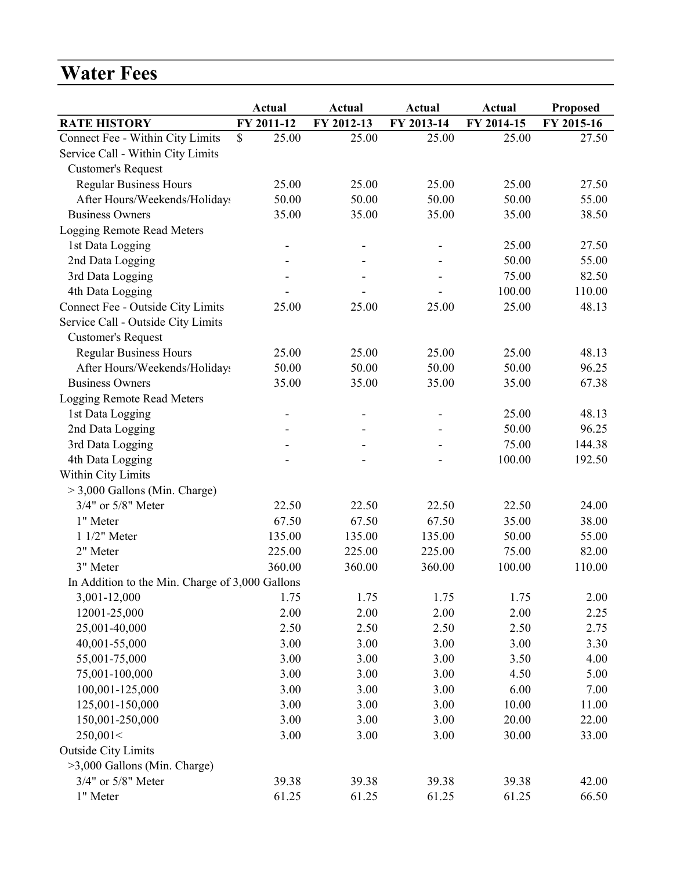# Water Fees

|                                                 | Actual      | <b>Actual</b> | <b>Actual</b> | <b>Actual</b> | <b>Proposed</b> |
|-------------------------------------------------|-------------|---------------|---------------|---------------|-----------------|
| <b>RATE HISTORY</b>                             | FY 2011-12  | FY 2012-13    | FY 2013-14    | FY 2014-15    | FY 2015-16      |
| Connect Fee - Within City Limits                | 25.00<br>\$ | 25.00         | 25.00         | 25.00         | 27.50           |
| Service Call - Within City Limits               |             |               |               |               |                 |
| <b>Customer's Request</b>                       |             |               |               |               |                 |
| <b>Regular Business Hours</b>                   | 25.00       | 25.00         | 25.00         | 25.00         | 27.50           |
| After Hours/Weekends/Holidays                   | 50.00       | 50.00         | 50.00         | 50.00         | 55.00           |
| <b>Business Owners</b>                          | 35.00       | 35.00         | 35.00         | 35.00         | 38.50           |
| <b>Logging Remote Read Meters</b>               |             |               |               |               |                 |
| 1st Data Logging                                |             | -             | -             | 25.00         | 27.50           |
| 2nd Data Logging                                |             |               |               | 50.00         | 55.00           |
| 3rd Data Logging                                |             |               |               | 75.00         | 82.50           |
| 4th Data Logging                                |             |               |               | 100.00        | 110.00          |
| Connect Fee - Outside City Limits               | 25.00       | 25.00         | 25.00         | 25.00         | 48.13           |
| Service Call - Outside City Limits              |             |               |               |               |                 |
| <b>Customer's Request</b>                       |             |               |               |               |                 |
| <b>Regular Business Hours</b>                   | 25.00       | 25.00         | 25.00         | 25.00         | 48.13           |
| After Hours/Weekends/Holidays                   | 50.00       | 50.00         | 50.00         | 50.00         | 96.25           |
| <b>Business Owners</b>                          | 35.00       | 35.00         | 35.00         | 35.00         | 67.38           |
| <b>Logging Remote Read Meters</b>               |             |               |               |               |                 |
| 1st Data Logging                                |             |               |               | 25.00         | 48.13           |
| 2nd Data Logging                                |             |               |               | 50.00         | 96.25           |
| 3rd Data Logging                                |             |               |               | 75.00         | 144.38          |
| 4th Data Logging                                |             |               |               | 100.00        | 192.50          |
| Within City Limits                              |             |               |               |               |                 |
| $>$ 3,000 Gallons (Min. Charge)                 |             |               |               |               |                 |
| 3/4" or 5/8" Meter                              | 22.50       | 22.50         | 22.50         | 22.50         | 24.00           |
| 1" Meter                                        | 67.50       | 67.50         | 67.50         | 35.00         | 38.00           |
| 1 1/2" Meter                                    | 135.00      | 135.00        | 135.00        | 50.00         | 55.00           |
| 2" Meter                                        | 225.00      | 225.00        | 225.00        | 75.00         | 82.00           |
| 3" Meter                                        | 360.00      | 360.00        | 360.00        | 100.00        | 110.00          |
| In Addition to the Min. Charge of 3,000 Gallons |             |               |               |               |                 |
| 3,001-12,000                                    | 1.75        | 1.75          | 1.75          | 1.75          | 2.00            |
| 12001-25,000                                    | 2.00        | 2.00          | 2.00          | 2.00          | 2.25            |
| 25,001-40,000                                   | 2.50        | 2.50          | 2.50          | 2.50          | 2.75            |
| 40,001-55,000                                   | 3.00        | 3.00          | 3.00          | 3.00          | 3.30            |
| 55,001-75,000                                   | 3.00        | 3.00          | 3.00          | 3.50          | 4.00            |
| 75,001-100,000                                  | 3.00        | 3.00          | 3.00          | 4.50          | 5.00            |
|                                                 |             |               | 3.00          | 6.00          |                 |
| 100,001-125,000                                 | 3.00        | 3.00          |               |               | 7.00            |
| 125,001-150,000                                 | 3.00        | 3.00          | 3.00          | 10.00         | 11.00           |
| 150,001-250,000                                 | 3.00        | 3.00          | 3.00          | 20.00         | 22.00           |
| 250,001<                                        | 3.00        | 3.00          | 3.00          | 30.00         | 33.00           |
| <b>Outside City Limits</b>                      |             |               |               |               |                 |
| >3,000 Gallons (Min. Charge)                    |             |               |               |               |                 |
| 3/4" or 5/8" Meter                              | 39.38       | 39.38         | 39.38         | 39.38         | 42.00           |
| 1" Meter                                        | 61.25       | 61.25         | 61.25         | 61.25         | 66.50           |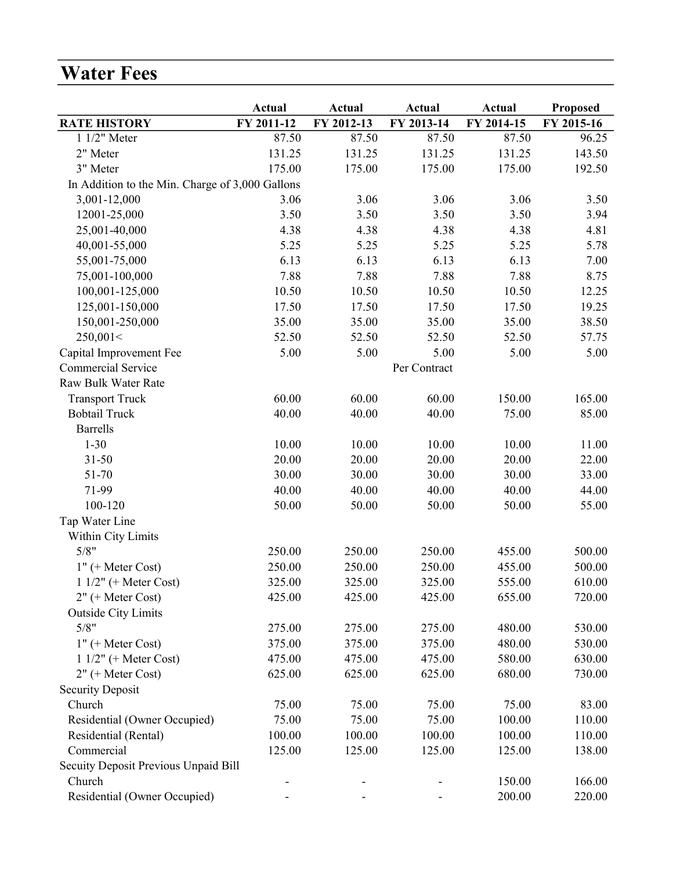# Water Fees

|                                                 | <b>Actual</b> | <b>Actual</b> | <b>Actual</b> | <b>Actual</b> | <b>Proposed</b> |
|-------------------------------------------------|---------------|---------------|---------------|---------------|-----------------|
| <b>RATE HISTORY</b>                             | FY 2011-12    | FY 2012-13    | FY 2013-14    | FY 2014-15    | FY 2015-16      |
| 1 1/2" Meter                                    | 87.50         | 87.50         | 87.50         | 87.50         | 96.25           |
| 2" Meter                                        | 131.25        | 131.25        | 131.25        | 131.25        | 143.50          |
| 3" Meter                                        | 175.00        | 175.00        | 175.00        | 175.00        | 192.50          |
| In Addition to the Min. Charge of 3,000 Gallons |               |               |               |               |                 |
| 3,001-12,000                                    | 3.06          | 3.06          | 3.06          | 3.06          | 3.50            |
| 12001-25,000                                    | 3.50          | 3.50          | 3.50          | 3.50          | 3.94            |
| 25,001-40,000                                   | 4.38          | 4.38          | 4.38          | 4.38          | 4.81            |
| 40,001-55,000                                   | 5.25          | 5.25          | 5.25          | 5.25          | 5.78            |
| 55,001-75,000                                   | 6.13          | 6.13          | 6.13          | 6.13          | 7.00            |
| 75,001-100,000                                  | 7.88          | 7.88          | 7.88          | 7.88          | 8.75            |
| 100,001-125,000                                 | 10.50         | 10.50         | 10.50         | 10.50         | 12.25           |
| 125,001-150,000                                 | 17.50         | 17.50         | 17.50         | 17.50         | 19.25           |
| 150,001-250,000                                 | 35.00         | 35.00         | 35.00         | 35.00         | 38.50           |
| 250,001<                                        | 52.50         | 52.50         | 52.50         | 52.50         | 57.75           |
| Capital Improvement Fee                         | 5.00          | 5.00          | 5.00          | 5.00          | 5.00            |
| <b>Commercial Service</b>                       |               |               | Per Contract  |               |                 |
| Raw Bulk Water Rate                             |               |               |               |               |                 |
| <b>Transport Truck</b>                          | 60.00         | 60.00         | 60.00         | 150.00        | 165.00          |
| <b>Bobtail Truck</b>                            | 40.00         | 40.00         | 40.00         | 75.00         | 85.00           |
| <b>Barrells</b>                                 |               |               |               |               |                 |
| $1 - 30$                                        | 10.00         | 10.00         | 10.00         | 10.00         | 11.00           |
| $31 - 50$                                       | 20.00         | 20.00         | 20.00         | 20.00         | 22.00           |
| 51-70                                           | 30.00         | 30.00         | 30.00         | 30.00         | 33.00           |
| 71-99                                           | 40.00         | 40.00         | 40.00         | 40.00         | 44.00           |
| 100-120                                         | 50.00         | 50.00         | 50.00         | 50.00         | 55.00           |
| Tap Water Line                                  |               |               |               |               |                 |
| Within City Limits                              |               |               |               |               |                 |
| 5/8"                                            | 250.00        | 250.00        | 250.00        | 455.00        | 500.00          |
| $1" (+$ Meter Cost)                             | 250.00        | 250.00        | 250.00        | 455.00        | 500.00          |
| $11/2"$ (+ Meter Cost)                          | 325.00        | 325.00        | 325.00        | 555.00        | 610.00          |
| $2"$ (+ Meter Cost)                             | 425.00        | 425.00        | 425.00        | 655.00        | 720.00          |
| <b>Outside City Limits</b>                      |               |               |               |               |                 |
| 5/8"                                            | 275.00        | 275.00        | 275.00        | 480.00        | 530.00          |
| $1" (+$ Meter Cost)                             | 375.00        | 375.00        | 375.00        | 480.00        | 530.00          |
| $11/2"$ (+ Meter Cost)                          | 475.00        | 475.00        | 475.00        | 580.00        | 630.00          |
| $2"$ (+ Meter Cost)                             | 625.00        | 625.00        | 625.00        | 680.00        | 730.00          |
| <b>Security Deposit</b>                         |               |               |               |               |                 |
| Church                                          | 75.00         | 75.00         | 75.00         | 75.00         | 83.00           |
| Residential (Owner Occupied)                    | 75.00         | 75.00         | 75.00         | 100.00        | 110.00          |
| Residential (Rental)                            | 100.00        | 100.00        | 100.00        | 100.00        | 110.00          |
| Commercial                                      | 125.00        | 125.00        | 125.00        | 125.00        | 138.00          |
| Secuity Deposit Previous Unpaid Bill            |               |               |               |               |                 |
| Church                                          |               |               |               | 150.00        | 166.00          |
| Residential (Owner Occupied)                    |               |               |               | 200.00        | 220.00          |